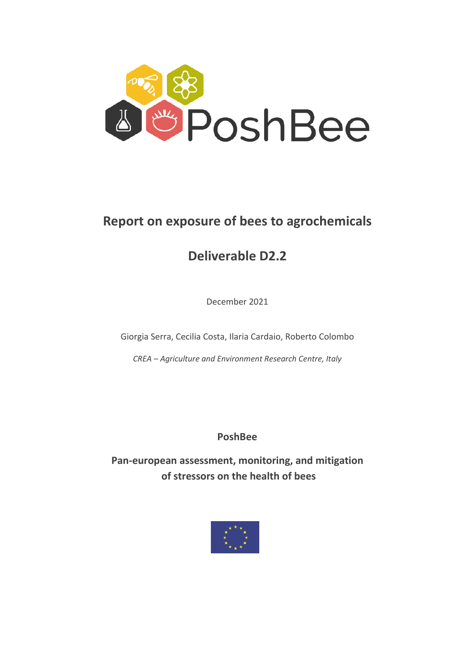

# **Report on exposure of bees to agrochemicals**

# **Deliverable D2.2**

December 2021

Giorgia Serra, Cecilia Costa, Ilaria Cardaio, Roberto Colombo

*CREA – Agriculture and Environment Research Centre, Italy*

**PoshBee** 

**Pan-european assessment, monitoring, and mitigation of stressors on the health of bees** 

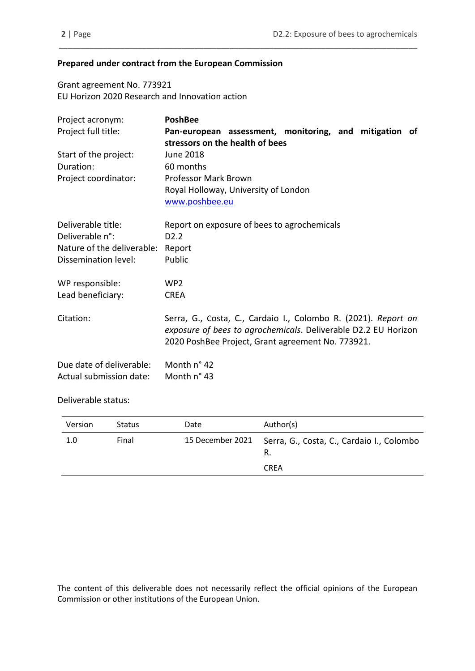### **Prepared under contract from the European Commission**

Grant agreement No. 773921 EU Horizon 2020 Research and Innovation action

| Project acronym:           | <b>PoshBee</b>                                                                                                                                                                        |
|----------------------------|---------------------------------------------------------------------------------------------------------------------------------------------------------------------------------------|
| Project full title:        | Pan-european assessment, monitoring, and mitigation of                                                                                                                                |
|                            | stressors on the health of bees                                                                                                                                                       |
| Start of the project:      | June 2018                                                                                                                                                                             |
| Duration:                  | 60 months                                                                                                                                                                             |
| Project coordinator:       | Professor Mark Brown                                                                                                                                                                  |
|                            | Royal Holloway, University of London                                                                                                                                                  |
|                            | www.poshbee.eu                                                                                                                                                                        |
| Deliverable title:         | Report on exposure of bees to agrochemicals                                                                                                                                           |
| Deliverable n°:            | D <sub>2.2</sub>                                                                                                                                                                      |
| Nature of the deliverable: | Report                                                                                                                                                                                |
| Dissemination level:       | Public                                                                                                                                                                                |
| WP responsible:            | WP <sub>2</sub>                                                                                                                                                                       |
| Lead beneficiary:          | <b>CREA</b>                                                                                                                                                                           |
| Citation:                  | Serra, G., Costa, C., Cardaio I., Colombo R. (2021). Report on<br>exposure of bees to agrochemicals. Deliverable D2.2 EU Horizon<br>2020 PoshBee Project, Grant agreement No. 773921. |
| Due date of deliverable:   | Month n° 42                                                                                                                                                                           |
| Actual submission date:    | Month n° 43                                                                                                                                                                           |

\_\_\_\_\_\_\_\_\_\_\_\_\_\_\_\_\_\_\_\_\_\_\_\_\_\_\_\_\_\_\_\_\_\_\_\_\_\_\_\_\_\_\_\_\_\_\_\_\_\_\_\_\_\_\_\_\_\_\_\_\_\_\_\_\_\_\_\_\_\_\_\_\_\_\_\_\_\_\_\_\_\_

Deliverable status:

| Version | <b>Status</b> | Date             | Author(s)                                                      |
|---------|---------------|------------------|----------------------------------------------------------------|
| 1.0     | Final         | 15 December 2021 | Serra, G., Costa, C., Cardaio I., Colombo<br>R.<br><b>CREA</b> |
|         |               |                  |                                                                |

The content of this deliverable does not necessarily reflect the official opinions of the European Commission or other institutions of the European Union.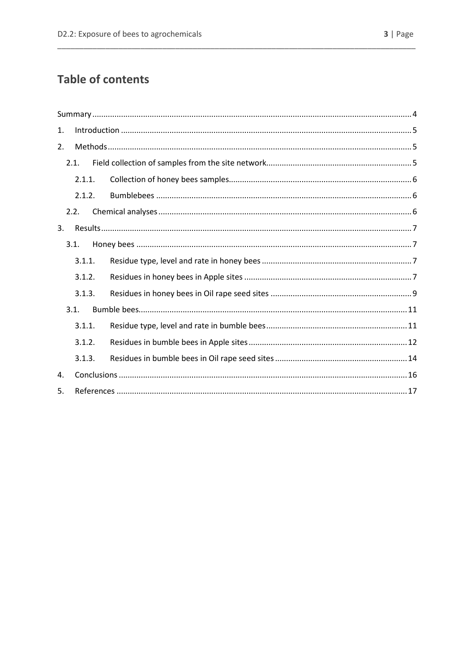| 1. |        |  |
|----|--------|--|
| 2. |        |  |
|    | 2.1.   |  |
|    | 2.1.1. |  |
|    | 2.1.2. |  |
|    | 2.2.   |  |
| 3. |        |  |
|    | 3.1.   |  |
|    | 3.1.1. |  |
|    | 3.1.2. |  |
|    | 3.1.3. |  |
|    | 3.1.   |  |
|    | 3.1.1. |  |
|    | 3.1.2. |  |
|    | 3.1.3. |  |
| 4. |        |  |
| 5. |        |  |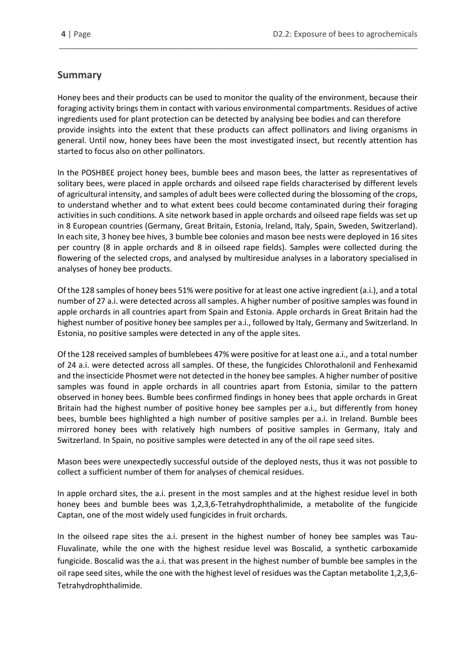# <span id="page-3-0"></span>**Summary**

Honey bees and their products can be used to monitor the quality of the environment, because their foraging activity brings them in contact with various environmental compartments. Residues of active ingredients used for plant protection can be detected by analysing bee bodies and can therefore provide insights into the extent that these products can affect pollinators and living organisms in general. Until now, honey bees have been the most investigated insect, but recently attention has started to focus also on other pollinators.

\_\_\_\_\_\_\_\_\_\_\_\_\_\_\_\_\_\_\_\_\_\_\_\_\_\_\_\_\_\_\_\_\_\_\_\_\_\_\_\_\_\_\_\_\_\_\_\_\_\_\_\_\_\_\_\_\_\_\_\_\_\_\_\_\_\_\_\_\_\_\_\_\_\_\_\_\_\_\_\_\_\_

In the POSHBEE project honey bees, bumble bees and mason bees, the latter as representatives of solitary bees, were placed in apple orchards and oilseed rape fields characterised by different levels of agricultural intensity, and samples of adult bees were collected during the blossoming of the crops, to understand whether and to what extent bees could become contaminated during their foraging activities in such conditions. A site network based in apple orchards and oilseed rape fields was set up in 8 European countries (Germany, Great Britain, Estonia, Ireland, Italy, Spain, Sweden, Switzerland). In each site, 3 honey bee hives, 3 bumble bee colonies and mason bee nests were deployed in 16 sites per country (8 in apple orchards and 8 in oilseed rape fields). Samples were collected during the flowering of the selected crops, and analysed by multiresidue analyses in a laboratory specialised in analyses of honey bee products.

Of the 128 samples of honey bees 51% were positive for at least one active ingredient (a.i.), and a total number of 27 a.i. were detected across all samples. A higher number of positive samples was found in apple orchards in all countries apart from Spain and Estonia. Apple orchards in Great Britain had the highest number of positive honey bee samples per a.i., followed by Italy, Germany and Switzerland. In Estonia, no positive samples were detected in any of the apple sites.

Of the 128 received samples of bumblebees 47% were positive for at least one a.i., and a total number of 24 a.i. were detected across all samples. Of these, the fungicides Chlorothalonil and Fenhexamid and the insecticide Phosmet were not detected in the honey bee samples. A higher number of positive samples was found in apple orchards in all countries apart from Estonia, similar to the pattern observed in honey bees. Bumble bees confirmed findings in honey bees that apple orchards in Great Britain had the highest number of positive honey bee samples per a.i., but differently from honey bees, bumble bees highlighted a high number of positive samples per a.i. in Ireland. Bumble bees mirrored honey bees with relatively high numbers of positive samples in Germany, Italy and Switzerland. In Spain, no positive samples were detected in any of the oil rape seed sites.

Mason bees were unexpectedly successful outside of the deployed nests, thus it was not possible to collect a sufficient number of them for analyses of chemical residues.

In apple orchard sites, the a.i. present in the most samples and at the highest residue level in both honey bees and bumble bees was 1,2,3,6-Tetrahydrophthalimide, a metabolite of the fungicide Captan, one of the most widely used fungicides in fruit orchards.

In the oilseed rape sites the a.i. present in the highest number of honey bee samples was Tau-Fluvalinate, while the one with the highest residue level was Boscalid, a synthetic carboxamide fungicide. Boscalid was the a.i. that was present in the highest number of bumble bee samples in the oil rape seed sites, while the one with the highest level of residues was the Captan metabolite 1,2,3,6- Tetrahydrophthalimide.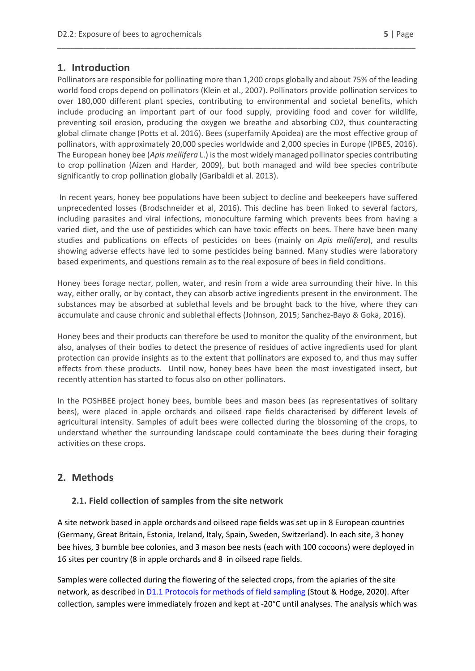## <span id="page-4-0"></span>**1. Introduction**

Pollinators are responsible for pollinating more than 1,200 crops globally and about 75% of the leading world food crops depend on pollinators (Klein et al., 2007). Pollinators provide pollination services to over 180,000 different plant species, contributing to environmental and societal benefits, which include producing an important part of our food supply, providing food and cover for wildlife, preventing soil erosion, producing the oxygen we breathe and absorbing C02, thus counteracting global climate change (Potts et al. 2016). Bees (superfamily Apoidea) are the most effective group of pollinators, with approximately 20,000 species worldwide and 2,000 species in Europe (IPBES, 2016). The European honey bee (*Apis mellifera* L.) is the most widely managed pollinator species contributing to crop pollination (Aizen and Harder, 2009), but both managed and wild bee species contribute significantly to crop pollination globally (Garibaldi et al. 2013).

\_\_\_\_\_\_\_\_\_\_\_\_\_\_\_\_\_\_\_\_\_\_\_\_\_\_\_\_\_\_\_\_\_\_\_\_\_\_\_\_\_\_\_\_\_\_\_\_\_\_\_\_\_\_\_\_\_\_\_\_\_\_\_\_\_\_\_\_\_\_\_\_\_\_\_\_\_\_\_\_\_\_

In recent years, honey bee populations have been subject to decline and beekeepers have suffered unprecedented losses (Brodschneider et al, 2016). This decline has been linked to several factors, including parasites and viral infections, monoculture farming which prevents bees from having a varied diet, and the use of pesticides which can have toxic effects on bees. There have been many studies and publications on effects of pesticides on bees (mainly on *Apis mellifera*), and results showing adverse effects have led to some pesticides being banned. Many studies were laboratory based experiments, and questions remain as to the real exposure of bees in field conditions.

Honey bees forage nectar, pollen, water, and resin from a wide area surrounding their hive. In this way, either orally, or by contact, they can absorb active ingredients present in the environment. The substances may be absorbed at sublethal levels and be brought back to the hive, where they can accumulate and cause chronic and sublethal effects (Johnson, 2015; Sanchez-Bayo & Goka, 2016).

Honey bees and their products can therefore be used to monitor the quality of the environment, but also, analyses of their bodies to detect the presence of residues of active ingredients used for plant protection can provide insights as to the extent that pollinators are exposed to, and thus may suffer effects from these products. Until now, honey bees have been the most investigated insect, but recently attention has started to focus also on other pollinators.

In the POSHBEE project honey bees, bumble bees and mason bees (as representatives of solitary bees), were placed in apple orchards and oilseed rape fields characterised by different levels of agricultural intensity. Samples of adult bees were collected during the blossoming of the crops, to understand whether the surrounding landscape could contaminate the bees during their foraging activities on these crops.

## <span id="page-4-1"></span>**2. Methods**

#### <span id="page-4-2"></span>**2.1. Field collection of samples from the site network**

A site network based in apple orchards and oilseed rape fields was set up in 8 European countries (Germany, Great Britain, Estonia, Ireland, Italy, Spain, Sweden, Switzerland). In each site, 3 honey bee hives, 3 bumble bee colonies, and 3 mason bee nests (each with 100 cocoons) were deployed in 16 sites per country (8 in apple orchards and 8 in oilseed rape fields.

Samples were collected during the flowering of the selected crops, from the apiaries of the site network, as described i[n D1.1 Protocols for methods of field sampling](https://poshbee.eu/documents/1/0_0_0/0) (Stout & Hodge, 2020). After collection, samples were immediately frozen and kept at -20°C until analyses. The analysis which was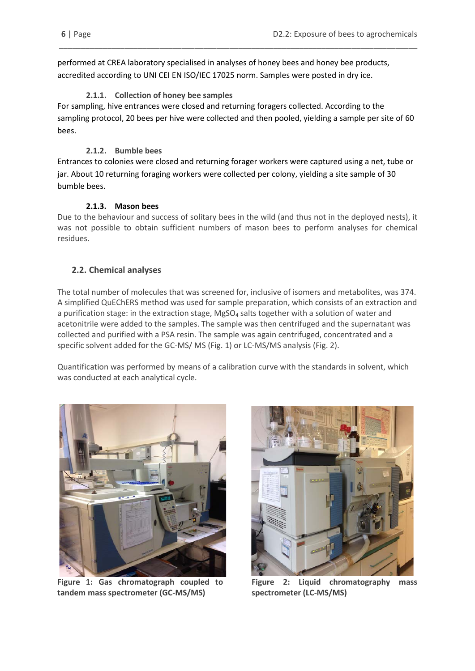performed at CREA laboratory specialised in analyses of honey bees and honey bee products, accredited according to UNI CEI EN ISO/IEC 17025 norm. Samples were posted in dry ice.

## **2.1.1. Collection of honey bee samples**

<span id="page-5-0"></span>For sampling, hive entrances were closed and returning foragers collected. According to the sampling protocol, 20 bees per hive were collected and then pooled, yielding a sample per site of 60 bees.

\_\_\_\_\_\_\_\_\_\_\_\_\_\_\_\_\_\_\_\_\_\_\_\_\_\_\_\_\_\_\_\_\_\_\_\_\_\_\_\_\_\_\_\_\_\_\_\_\_\_\_\_\_\_\_\_\_\_\_\_\_\_\_\_\_\_\_\_\_\_\_\_\_\_\_\_\_\_\_\_\_\_

## **2.1.2. Bumble bees**

<span id="page-5-1"></span>Entrances to colonies were closed and returning forager workers were captured using a net, tube or jar. About 10 returning foraging workers were collected per colony, yielding a site sample of 30 bumble bees.

### **2.1.3. Mason bees**

Due to the behaviour and success of solitary bees in the wild (and thus not in the deployed nests), it was not possible to obtain sufficient numbers of mason bees to perform analyses for chemical residues.

## <span id="page-5-2"></span>**2.2. Chemical analyses**

The total number of molecules that was screened for, inclusive of isomers and metabolites, was 374. A simplified QuEChERS method was used for sample preparation, which consists of an extraction and a purification stage: in the extraction stage, MgSO<sub>4</sub> salts together with a solution of water and acetonitrile were added to the samples. The sample was then centrifuged and the supernatant was collected and purified with a PSA resin. The sample was again centrifuged, concentrated and a specific solvent added for the GC-MS/ MS (Fig. 1) or LC-MS/MS analysis (Fig. 2).

Quantification was performed by means of a calibration curve with the standards in solvent, which was conducted at each analytical cycle.



 **Figure 1: Gas chromatograph coupled to tandem mass spectrometer (GC-MS/MS)**



**Figure 2: Liquid chromatography mass spectrometer (LC-MS/MS)**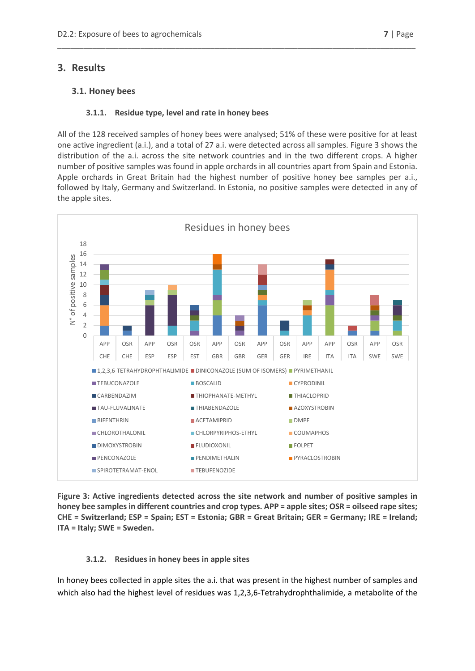## <span id="page-6-0"></span>**3. Results**

### <span id="page-6-1"></span>**3.1. Honey bees**

#### **3.1.1. Residue type, level and rate in honey bees**

<span id="page-6-2"></span>All of the 128 received samples of honey bees were analysed; 51% of these were positive for at least one active ingredient (a.i.), and a total of 27 a.i. were detected across all samples. Figure 3 shows the distribution of the a.i. across the site network countries and in the two different crops. A higher number of positive samples was found in apple orchards in all countries apart from Spain and Estonia. Apple orchards in Great Britain had the highest number of positive honey bee samples per a.i., followed by Italy, Germany and Switzerland. In Estonia, no positive samples were detected in any of the apple sites.

\_\_\_\_\_\_\_\_\_\_\_\_\_\_\_\_\_\_\_\_\_\_\_\_\_\_\_\_\_\_\_\_\_\_\_\_\_\_\_\_\_\_\_\_\_\_\_\_\_\_\_\_\_\_\_\_\_\_\_\_\_\_\_\_\_\_\_\_\_\_\_\_\_\_\_\_\_\_\_\_\_\_



**Figure 3: Active ingredients detected across the site network and number of positive samples in honey bee samples in different countries and crop types. APP = apple sites; OSR = oilseed rape sites; CHE = Switzerland; ESP = Spain; EST = Estonia; GBR = Great Britain; GER = Germany; IRE = Ireland; ITA = Italy; SWE = Sweden.**

#### **3.1.2. Residues in honey bees in apple sites**

<span id="page-6-3"></span>In honey bees collected in apple sites the a.i. that was present in the highest number of samples and which also had the highest level of residues was 1,2,3,6-Tetrahydrophthalimide, a metabolite of the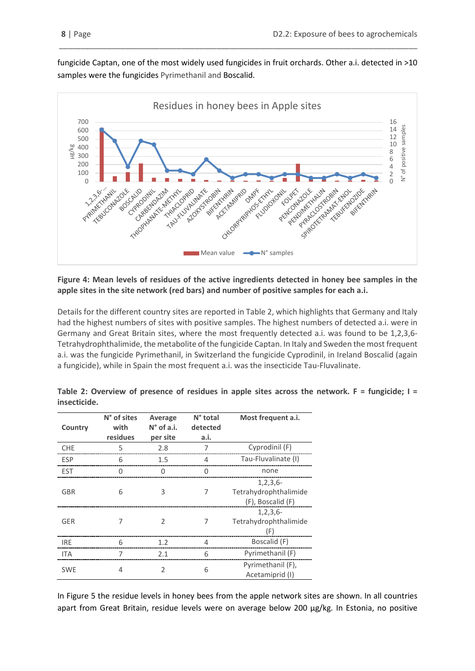fungicide Captan, one of the most widely used fungicides in fruit orchards. Other a.i. detected in >10 samples were the fungicides Pyrimethanil and Boscalid.

\_\_\_\_\_\_\_\_\_\_\_\_\_\_\_\_\_\_\_\_\_\_\_\_\_\_\_\_\_\_\_\_\_\_\_\_\_\_\_\_\_\_\_\_\_\_\_\_\_\_\_\_\_\_\_\_\_\_\_\_\_\_\_\_\_\_\_\_\_\_\_\_\_\_\_\_\_\_\_\_\_\_



#### **Figure 4: Mean levels of residues of the active ingredients detected in honey bee samples in the apple sites in the site network (red bars) and number of positive samples for each a.i.**

Details for the different country sites are reported in Table 2, which highlights that Germany and Italy had the highest numbers of sites with positive samples. The highest numbers of detected a.i. were in Germany and Great Britain sites, where the most frequently detected a.i. was found to be 1,2,3,6- Tetrahydrophthalimide, the metabolite of the fungicide Captan. In Italy and Sweden the most frequent a.i. was the fungicide Pyrimethanil, in Switzerland the fungicide Cyprodinil, in Ireland Boscalid (again a fungicide), while in Spain the most frequent a.i. was the insecticide Tau-Fluvalinate.

| Country    | N° of sites<br>with<br>residues | Average<br>$N^{\circ}$ of a.i.<br>per site | N° total<br>detected<br>a.i. | Most frequent a.i.                                           |
|------------|---------------------------------|--------------------------------------------|------------------------------|--------------------------------------------------------------|
| <b>CHE</b> | 5                               | 2.8                                        |                              | Cyprodinil (F)                                               |
| <b>ESP</b> | 6                               | 1.5                                        | 4                            | Tau-Fluvalinate (I)                                          |
| <b>EST</b> | 0                               | 0                                          | 0                            | none                                                         |
| <b>GBR</b> | 6                               | 3                                          | 7                            | $1, 2, 3, 6 -$<br>Tetrahydrophthalimide<br>(F), Boscalid (F) |
| <b>GER</b> |                                 | $\mathcal{P}$                              |                              | $1, 2, 3, 6 -$<br>Tetrahydrophthalimide<br>(F)               |
| <b>IRE</b> | 6                               | 1.2                                        | 4                            | Boscalid (F)                                                 |
| <b>ITA</b> |                                 | 2.1                                        | 6                            | Pyrimethanil (F)                                             |
| <b>SWE</b> | 4                               | $\mathfrak{D}$                             | 6                            | Pyrimethanil (F),<br>Acetamiprid (I)                         |

**Table 2: Overview of presence of residues in apple sites across the network. F = fungicide; I = insecticide.**

In Figure 5 the residue levels in honey bees from the apple network sites are shown. In all countries apart from Great Britain, residue levels were on average below 200 µg/kg. In Estonia, no positive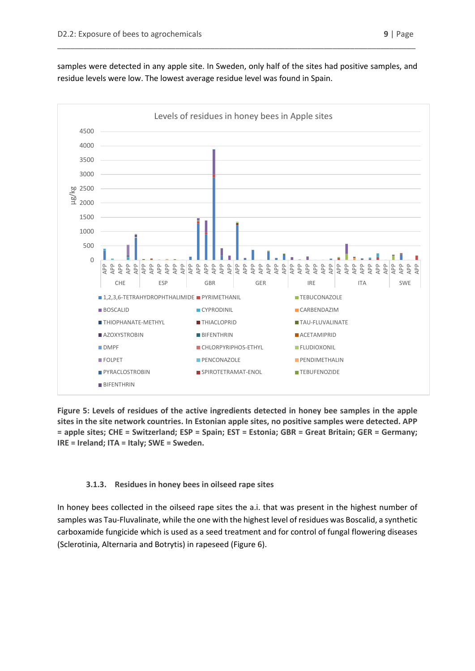**BIFFNTHRIN** 



samples were detected in any apple site. In Sweden, only half of the sites had positive samples, and residue levels were low. The lowest average residue level was found in Spain.

\_\_\_\_\_\_\_\_\_\_\_\_\_\_\_\_\_\_\_\_\_\_\_\_\_\_\_\_\_\_\_\_\_\_\_\_\_\_\_\_\_\_\_\_\_\_\_\_\_\_\_\_\_\_\_\_\_\_\_\_\_\_\_\_\_\_\_\_\_\_\_\_\_\_\_\_\_\_\_\_\_\_

**Figure 5: Levels of residues of the active ingredients detected in honey bee samples in the apple sites in the site network countries. In Estonian apple sites, no positive samples were detected. APP = apple sites; CHE = Switzerland; ESP = Spain; EST = Estonia; GBR = Great Britain; GER = Germany; IRE = Ireland; ITA = Italy; SWE = Sweden.**

**FOLPET** PENCONAZOLE **PENCONAZOLE PENDIMETHALIN** PYRACLOSTROBIN SPIROTETRAMAT-ENOL TEBUFENOZIDE

## **3.1.3. Residues in honey bees in oilseed rape sites**

<span id="page-8-0"></span>In honey bees collected in the oilseed rape sites the a.i. that was present in the highest number of samples was Tau-Fluvalinate, while the one with the highest level of residues was Boscalid, a synthetic carboxamide fungicide which is used as a seed treatment and for control of fungal flowering diseases (Sclerotinia, Alternaria and Botrytis) in rapeseed (Figure 6).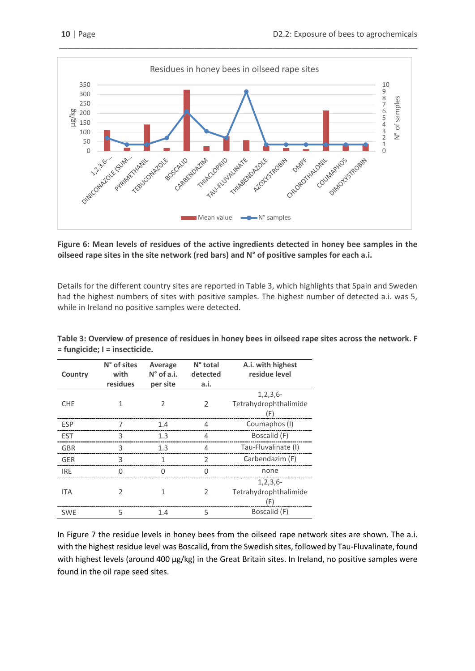

#### **Figure 6: Mean levels of residues of the active ingredients detected in honey bee samples in the oilseed rape sites in the site network (red bars) and N° of positive samples for each a.i.**

Details for the different country sites are reported in Table 3, which highlights that Spain and Sweden had the highest numbers of sites with positive samples. The highest number of detected a.i. was 5, while in Ireland no positive samples were detected.

| Country    | N° of sites<br>with<br>residues | Average<br>$N^{\circ}$ of a.i.<br>per site | N° total<br>detected<br>a.i. | A.i. with highest<br>residue level             |
|------------|---------------------------------|--------------------------------------------|------------------------------|------------------------------------------------|
| <b>CHE</b> | 1                               | I.                                         | $\mathfrak{D}$               | $1, 2, 3, 6 -$<br>Tetrahydrophthalimide<br>(F) |
| <b>ESP</b> |                                 | 1.4                                        | 4                            | Coumaphos (I)                                  |
| <b>EST</b> | ς                               | 1.3                                        | Δ                            | Boscalid (F)                                   |
| <b>GBR</b> | 3                               | 1.3                                        | 4                            | Tau-Fluvalinate (I)                            |
| <b>GER</b> | 3                               |                                            | $\mathcal{P}$                | Carbendazim (F)                                |
| <b>IRE</b> | ∩                               |                                            |                              | none                                           |
| <b>ITA</b> | C                               |                                            | 2                            | $1, 2, 3, 6 -$<br>Tetrahydrophthalimide<br>(F) |
| <b>SWE</b> | 5                               | 1.4                                        | 5                            | Boscalid (F)                                   |

**Table 3: Overview of presence of residues in honey bees in oilseed rape sites across the network. F = fungicide; I = insecticide.**

In Figure 7 the residue levels in honey bees from the oilseed rape network sites are shown. The a.i. with the highest residue level was Boscalid, from the Swedish sites, followed by Tau-Fluvalinate, found with highest levels (around 400 µg/kg) in the Great Britain sites. In Ireland, no positive samples were found in the oil rape seed sites.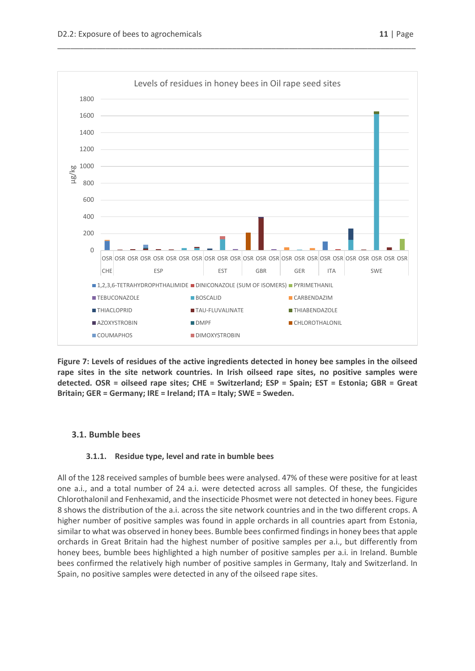

\_\_\_\_\_\_\_\_\_\_\_\_\_\_\_\_\_\_\_\_\_\_\_\_\_\_\_\_\_\_\_\_\_\_\_\_\_\_\_\_\_\_\_\_\_\_\_\_\_\_\_\_\_\_\_\_\_\_\_\_\_\_\_\_\_\_\_\_\_\_\_\_\_\_\_\_\_\_\_\_\_\_

**Figure 7: Levels of residues of the active ingredients detected in honey bee samples in the oilseed rape sites in the site network countries. In Irish oilseed rape sites, no positive samples were detected. OSR = oilseed rape sites; CHE = Switzerland; ESP = Spain; EST = Estonia; GBR = Great Britain; GER = Germany; IRE = Ireland; ITA = Italy; SWE = Sweden.**

#### <span id="page-10-0"></span>**3.1. Bumble bees**

#### **3.1.1. Residue type, level and rate in bumble bees**

<span id="page-10-1"></span>All of the 128 received samples of bumble bees were analysed. 47% of these were positive for at least one a.i., and a total number of 24 a.i. were detected across all samples. Of these, the fungicides Chlorothalonil and Fenhexamid, and the insecticide Phosmet were not detected in honey bees. Figure 8 shows the distribution of the a.i. across the site network countries and in the two different crops. A higher number of positive samples was found in apple orchards in all countries apart from Estonia, similar to what was observed in honey bees. Bumble bees confirmed findings in honey bees that apple orchards in Great Britain had the highest number of positive samples per a.i., but differently from honey bees, bumble bees highlighted a high number of positive samples per a.i. in Ireland. Bumble bees confirmed the relatively high number of positive samples in Germany, Italy and Switzerland. In Spain, no positive samples were detected in any of the oilseed rape sites.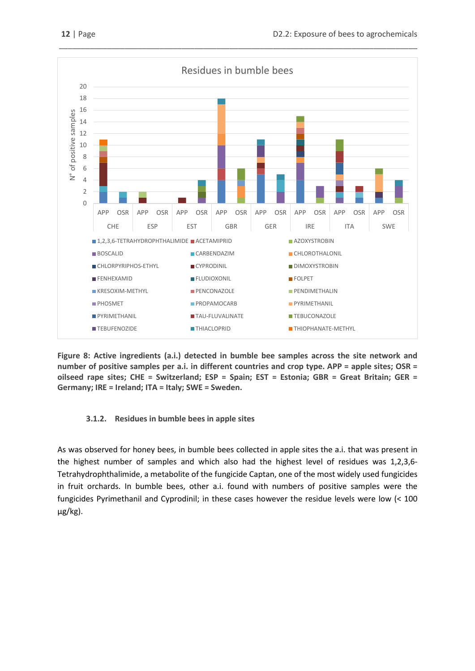

**Figure 8: Active ingredients (a.i.) detected in bumble bee samples across the site network and number of positive samples per a.i. in different countries and crop type. APP = apple sites; OSR = oilseed rape sites; CHE = Switzerland; ESP = Spain; EST = Estonia; GBR = Great Britain; GER = Germany; IRE = Ireland; ITA = Italy; SWE = Sweden.**

#### <span id="page-11-0"></span>**3.1.2. Residues in bumble bees in apple sites**

As was observed for honey bees, in bumble bees collected in apple sites the a.i. that was present in the highest number of samples and which also had the highest level of residues was 1,2,3,6- Tetrahydrophthalimide, a metabolite of the fungicide Captan, one of the most widely used fungicides in fruit orchards. In bumble bees, other a.i. found with numbers of positive samples were the fungicides Pyrimethanil and Cyprodinil; in these cases however the residue levels were low (< 100 µg/kg).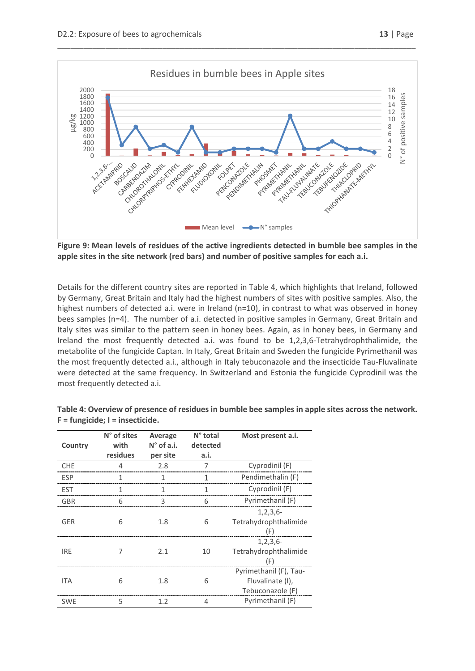



\_\_\_\_\_\_\_\_\_\_\_\_\_\_\_\_\_\_\_\_\_\_\_\_\_\_\_\_\_\_\_\_\_\_\_\_\_\_\_\_\_\_\_\_\_\_\_\_\_\_\_\_\_\_\_\_\_\_\_\_\_\_\_\_\_\_\_\_\_\_\_\_\_\_\_\_\_\_\_\_\_\_

**Figure 9: Mean levels of residues of the active ingredients detected in bumble bee samples in the apple sites in the site network (red bars) and number of positive samples for each a.i.** 

Details for the different country sites are reported in Table 4, which highlights that Ireland, followed by Germany, Great Britain and Italy had the highest numbers of sites with positive samples. Also, the highest numbers of detected a.i. were in Ireland (n=10), in contrast to what was observed in honey bees samples (n=4). The number of a.i. detected in positive samples in Germany, Great Britain and Italy sites was similar to the pattern seen in honey bees. Again, as in honey bees, in Germany and Ireland the most frequently detected a.i. was found to be 1,2,3,6-Tetrahydrophthalimide, the metabolite of the fungicide Captan. In Italy, Great Britain and Sweden the fungicide Pyrimethanil was the most frequently detected a.i., although in Italy tebuconazole and the insecticide Tau-Fluvalinate were detected at the same frequency. In Switzerland and Estonia the fungicide Cyprodinil was the most frequently detected a.i.

| Country    | N° of sites<br>with<br>residues | Average<br>$N^{\circ}$ of a.i.<br>per site | N° total<br>detected<br>a.i. | Most present a.i.                                              |
|------------|---------------------------------|--------------------------------------------|------------------------------|----------------------------------------------------------------|
| <b>CHE</b> |                                 | 2.8                                        | 7                            | Cyprodinil (F)                                                 |
| <b>ESP</b> |                                 | 1                                          | 1                            | Pendimethalin (F)                                              |
| <b>EST</b> |                                 | 1                                          | 1                            | Cyprodinil (F)                                                 |
| <b>GBR</b> | 6                               | 3                                          | 6                            | Pyrimethanil (F)                                               |
| <b>GER</b> | 6                               | 1.8                                        | 6                            | $1, 2, 3, 6 -$<br>Tetrahydrophthalimide<br>(F)                 |
| <b>IRE</b> |                                 | 2.1                                        | 10                           | $1, 2, 3, 6 -$<br>Tetrahydrophthalimide<br>(F)                 |
| <b>ITA</b> | 6                               | 1.8                                        | 6                            | Pyrimethanil (F), Tau-<br>Fluvalinate (I),<br>Tebuconazole (F) |
| <b>SWE</b> | 5                               | 1.2                                        | 4                            | Pyrimethanil (F)                                               |

**Table 4: Overview of presence of residues in bumble bee samples in apple sites across the network. F = fungicide; I = insecticide.**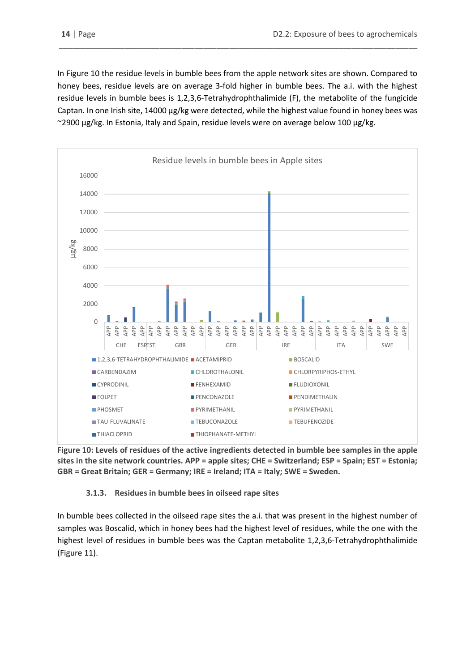In Figure 10 the residue levels in bumble bees from the apple network sites are shown. Compared to honey bees, residue levels are on average 3-fold higher in bumble bees. The a.i. with the highest residue levels in bumble bees is 1,2,3,6-Tetrahydrophthalimide (F), the metabolite of the fungicide Captan. In one Irish site, 14000 µg/kg were detected, while the highest value found in honey bees was ~2900 µg/kg. In Estonia, Italy and Spain, residue levels were on average below 100 µg/kg.

\_\_\_\_\_\_\_\_\_\_\_\_\_\_\_\_\_\_\_\_\_\_\_\_\_\_\_\_\_\_\_\_\_\_\_\_\_\_\_\_\_\_\_\_\_\_\_\_\_\_\_\_\_\_\_\_\_\_\_\_\_\_\_\_\_\_\_\_\_\_\_\_\_\_\_\_\_\_\_\_\_\_



**Figure 10: Levels of residues of the active ingredients detected in bumble bee samples in the apple sites in the site network countries. APP = apple sites; CHE = Switzerland; ESP = Spain; EST = Estonia; GBR = Great Britain; GER = Germany; IRE = Ireland; ITA = Italy; SWE = Sweden.**

#### **3.1.3. Residues in bumble bees in oilseed rape sites**

<span id="page-13-0"></span>In bumble bees collected in the oilseed rape sites the a.i. that was present in the highest number of samples was Boscalid, which in honey bees had the highest level of residues, while the one with the highest level of residues in bumble bees was the Captan metabolite 1,2,3,6-Tetrahydrophthalimide (Figure 11).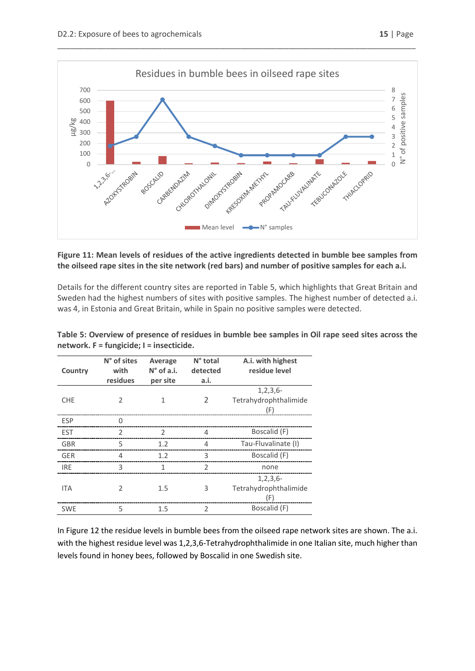



#### **Figure 11: Mean levels of residues of the active ingredients detected in bumble bee samples from the oilseed rape sites in the site network (red bars) and number of positive samples for each a.i.**

Details for the different country sites are reported in Table 5, which highlights that Great Britain and Sweden had the highest numbers of sites with positive samples. The highest number of detected a.i. was 4, in Estonia and Great Britain, while in Spain no positive samples were detected.

| Country    | N° of sites<br>with<br>residues | Average<br>$N^{\circ}$ of a.i.<br>per site | N° total<br>detected<br>a.i. | A.i. with highest<br>residue level             |
|------------|---------------------------------|--------------------------------------------|------------------------------|------------------------------------------------|
| <b>CHE</b> | $\mathcal{P}$                   | 1                                          | 2                            | $1, 2, 3, 6 -$<br>Tetrahydrophthalimide<br>(F) |
| <b>ESP</b> | U                               |                                            |                              |                                                |
| <b>EST</b> | $\mathcal{P}$                   | $\mathcal{P}$                              | 4                            | Boscalid (F)                                   |
| <b>GBR</b> | 5                               | 1.2                                        | 4                            | Tau-Fluvalinate (I)                            |
| <b>GER</b> | 4                               | 1.2                                        | 3                            | Boscalid (F)                                   |
| <b>IRE</b> | 3                               | 1                                          | $\overline{2}$               | none                                           |
| <b>ITA</b> | I.                              | 1.5                                        | 3                            | $1, 2, 3, 6 -$<br>Tetrahydrophthalimide<br>(F) |
| <b>SWE</b> | 5                               | 1.5                                        | $\mathfrak{D}$               | Boscalid (F)                                   |

**Table 5: Overview of presence of residues in bumble bee samples in Oil rape seed sites across the network. F = fungicide; I = insecticide.**

In Figure 12 the residue levels in bumble bees from the oilseed rape network sites are shown. The a.i. with the highest residue level was 1,2,3,6-Tetrahydrophthalimide in one Italian site, much higher than levels found in honey bees, followed by Boscalid in one Swedish site.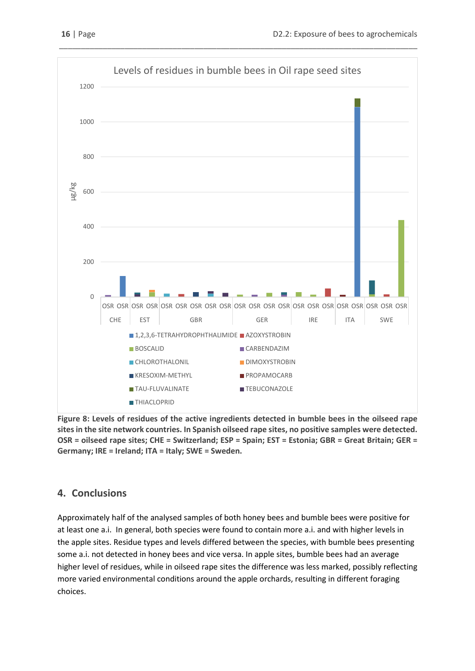

\_\_\_\_\_\_\_\_\_\_\_\_\_\_\_\_\_\_\_\_\_\_\_\_\_\_\_\_\_\_\_\_\_\_\_\_\_\_\_\_\_\_\_\_\_\_\_\_\_\_\_\_\_\_\_\_\_\_\_\_\_\_\_\_\_\_\_\_\_\_\_\_\_\_\_\_\_\_\_\_\_\_

**Figure 8: Levels of residues of the active ingredients detected in bumble bees in the oilseed rape sites in the site network countries. In Spanish oilseed rape sites, no positive samples were detected. OSR = oilseed rape sites; CHE = Switzerland; ESP = Spain; EST = Estonia; GBR = Great Britain; GER = Germany; IRE = Ireland; ITA = Italy; SWE = Sweden.**

# <span id="page-15-0"></span>**4. Conclusions**

Approximately half of the analysed samples of both honey bees and bumble bees were positive for at least one a.i. In general, both species were found to contain more a.i. and with higher levels in the apple sites. Residue types and levels differed between the species, with bumble bees presenting some a.i. not detected in honey bees and vice versa. In apple sites, bumble bees had an average higher level of residues, while in oilseed rape sites the difference was less marked, possibly reflecting more varied environmental conditions around the apple orchards, resulting in different foraging choices.